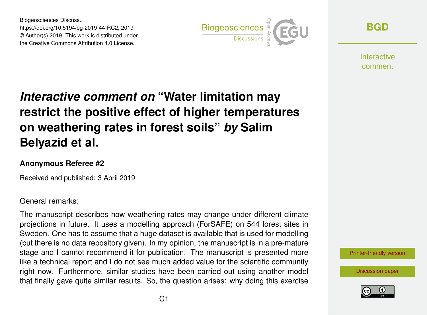Biogeosciences Discuss., https://doi.org/10.5194/bg-2019-44-RC2, 2019 © Author(s) 2019. This work is distributed under the Creative Commons Attribution 4.0 License.



**[BGD](https://www.biogeosciences-discuss.net/)**

Interactive comment

## *Interactive comment on* **"Water limitation may restrict the positive effect of higher temperatures on weathering rates in forest soils"** *by* **Salim Belyazid et al.**

## **Anonymous Referee #2**

Received and published: 3 April 2019

General remarks:

The manuscript describes how weathering rates may change under different climate projections in future. It uses a modelling approach (ForSAFE) on 544 forest sites in Sweden. One has to assume that a huge dataset is available that is used for modelling (but there is no data repository given). In my opinion, the manuscript is in a pre-mature stage and I cannot recommend it for publication. The manuscript is presented more like a technical report and I do not see much added value for the scientific community right now. Furthermore, similar studies have been carried out using another model that finally gave quite similar results. So, the question arises: why doing this exercise

[Printer-friendly version](https://www.biogeosciences-discuss.net/bg-2019-44/bg-2019-44-RC2-print.pdf)

[Discussion paper](https://www.biogeosciences-discuss.net/bg-2019-44)

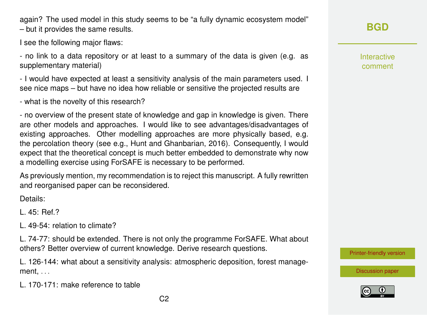again? The used model in this study seems to be "a fully dynamic ecosystem model" – but it provides the same results.

I see the following major flaws:

- no link to a data repository or at least to a summary of the data is given (e.g. as supplementary material)

- I would have expected at least a sensitivity analysis of the main parameters used. I see nice maps – but have no idea how reliable or sensitive the projected results are

- what is the novelty of this research?

- no overview of the present state of knowledge and gap in knowledge is given. There are other models and approaches. I would like to see advantages/disadvantages of existing approaches. Other modelling approaches are more physically based, e.g. the percolation theory (see e.g., Hunt and Ghanbarian, 2016). Consequently, I would expect that the theoretical concept is much better embedded to demonstrate why now a modelling exercise using ForSAFE is necessary to be performed.

As previously mention, my recommendation is to reject this manuscript. A fully rewritten and reorganised paper can be reconsidered.

Details:

L. 45: Ref.?

L. 49-54: relation to climate?

L. 74-77: should be extended. There is not only the programme ForSAFE. What about others? Better overview of current knowledge. Derive research questions.

L. 126-144: what about a sensitivity analysis: atmospheric deposition, forest management, . . .

L. 170-171: make reference to table

Interactive comment

[Printer-friendly version](https://www.biogeosciences-discuss.net/bg-2019-44/bg-2019-44-RC2-print.pdf)

[Discussion paper](https://www.biogeosciences-discuss.net/bg-2019-44)